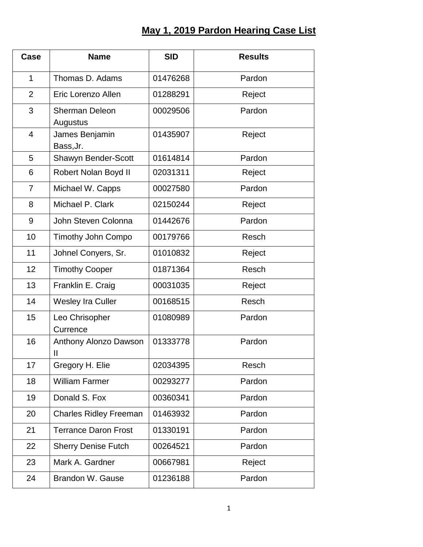## **May 1, 2019 Pardon Hearing Case List**

| Case           | <b>Name</b>                       | <b>SID</b> | <b>Results</b> |
|----------------|-----------------------------------|------------|----------------|
| $\mathbf{1}$   | Thomas D. Adams                   | 01476268   | Pardon         |
| 2              | Eric Lorenzo Allen                | 01288291   | Reject         |
| 3              | <b>Sherman Deleon</b><br>Augustus | 00029506   | Pardon         |
| $\overline{4}$ | James Benjamin<br>Bass, Jr.       | 01435907   | Reject         |
| 5              | Shawyn Bender-Scott               | 01614814   | Pardon         |
| 6              | Robert Nolan Boyd II              | 02031311   | Reject         |
| $\overline{7}$ | Michael W. Capps                  | 00027580   | Pardon         |
| 8              | Michael P. Clark                  | 02150244   | Reject         |
| 9              | John Steven Colonna               | 01442676   | Pardon         |
| 10             | <b>Timothy John Compo</b>         | 00179766   | Resch          |
| 11             | Johnel Conyers, Sr.               | 01010832   | Reject         |
| 12             | <b>Timothy Cooper</b>             | 01871364   | Resch          |
| 13             | Franklin E. Craig                 | 00031035   | Reject         |
| 14             | <b>Wesley Ira Culler</b>          | 00168515   | Resch          |
| 15             | Leo Chrisopher<br>Currence        | 01080989   | Pardon         |
| 16             | Anthony Alonzo Dawson<br>Ш        | 01333778   | Pardon         |
| 17             | Gregory H. Elie                   | 02034395   | Resch          |
| 18             | <b>William Farmer</b>             | 00293277   | Pardon         |
| 19             | Donald S. Fox                     | 00360341   | Pardon         |
| 20             | <b>Charles Ridley Freeman</b>     | 01463932   | Pardon         |
| 21             | <b>Terrance Daron Frost</b>       | 01330191   | Pardon         |
| 22             | <b>Sherry Denise Futch</b>        | 00264521   | Pardon         |
| 23             | Mark A. Gardner                   | 00667981   | Reject         |
| 24             | Brandon W. Gause                  | 01236188   | Pardon         |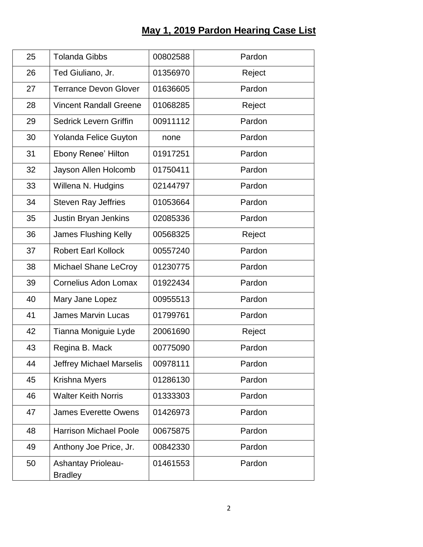## **May 1, 2019 Pardon Hearing Case List**

| 25 | <b>Tolanda Gibbs</b>                        | 00802588 | Pardon |
|----|---------------------------------------------|----------|--------|
| 26 | Ted Giuliano, Jr.                           | 01356970 | Reject |
| 27 | <b>Terrance Devon Glover</b>                | 01636605 | Pardon |
| 28 | <b>Vincent Randall Greene</b>               | 01068285 | Reject |
| 29 | <b>Sedrick Levern Griffin</b>               | 00911112 | Pardon |
| 30 | Yolanda Felice Guyton                       | none     | Pardon |
| 31 | <b>Ebony Renee' Hilton</b>                  | 01917251 | Pardon |
| 32 | Jayson Allen Holcomb                        | 01750411 | Pardon |
| 33 | Willena N. Hudgins                          | 02144797 | Pardon |
| 34 | <b>Steven Ray Jeffries</b>                  | 01053664 | Pardon |
| 35 | Justin Bryan Jenkins                        | 02085336 | Pardon |
| 36 | <b>James Flushing Kelly</b>                 | 00568325 | Reject |
| 37 | <b>Robert Earl Kollock</b>                  | 00557240 | Pardon |
| 38 | Michael Shane LeCroy                        | 01230775 | Pardon |
| 39 | <b>Cornelius Adon Lomax</b>                 | 01922434 | Pardon |
| 40 | Mary Jane Lopez                             | 00955513 | Pardon |
| 41 | <b>James Marvin Lucas</b>                   | 01799761 | Pardon |
| 42 | Tianna Moniguie Lyde                        | 20061690 | Reject |
| 43 | Regina B. Mack                              | 00775090 | Pardon |
| 44 | <b>Jeffrey Michael Marselis</b>             | 00978111 | Pardon |
| 45 | Krishna Myers                               | 01286130 | Pardon |
| 46 | <b>Walter Keith Norris</b>                  | 01333303 | Pardon |
| 47 | <b>James Everette Owens</b>                 | 01426973 | Pardon |
| 48 | <b>Harrison Michael Poole</b>               | 00675875 | Pardon |
| 49 | Anthony Joe Price, Jr.                      | 00842330 | Pardon |
| 50 | <b>Ashantay Prioleau-</b><br><b>Bradley</b> | 01461553 | Pardon |